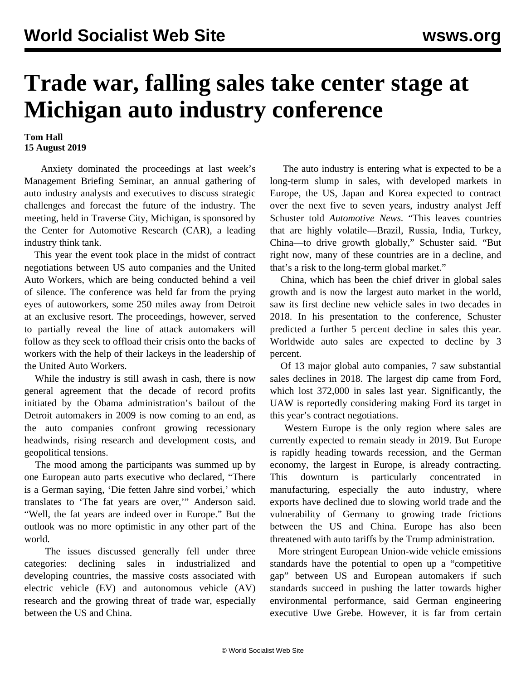## **Trade war, falling sales take center stage at Michigan auto industry conference**

## **Tom Hall 15 August 2019**

 Anxiety dominated the proceedings at last week's Management Briefing Seminar, an annual gathering of auto industry analysts and executives to discuss strategic challenges and forecast the future of the industry. The meeting, held in Traverse City, Michigan, is sponsored by the Center for Automotive Research (CAR), a leading industry think tank.

 This year the event took place in the midst of contract negotiations between US auto companies and the United Auto Workers, which are being conducted behind a veil of silence. The conference was held far from the prying eyes of autoworkers, some 250 miles away from Detroit at an exclusive resort. The proceedings, however, served to partially reveal the line of attack automakers will follow as they seek to offload their crisis onto the backs of workers with the help of their lackeys in the leadership of the United Auto Workers.

 While the industry is still awash in cash, there is now general agreement that the decade of record profits initiated by the Obama administration's bailout of the Detroit automakers in 2009 is now coming to an end, as the auto companies confront growing recessionary headwinds, rising research and development costs, and geopolitical tensions.

 The mood among the participants was summed up by one European auto parts executive who declared, "There is a German saying, 'Die fetten Jahre sind vorbei,' which translates to 'The fat years are over,'" Anderson said. "Well, the fat years are indeed over in Europe." But the outlook was no more optimistic in any other part of the world.

 The issues discussed generally fell under three categories: declining sales in industrialized and developing countries, the massive costs associated with electric vehicle (EV) and autonomous vehicle (AV) research and the growing threat of trade war, especially between the US and China.

 The auto industry is entering what is expected to be a long-term slump in sales, with developed markets in Europe, the US, Japan and Korea expected to contract over the next five to seven years, industry analyst Jeff Schuster told *Automotive News*. "This leaves countries that are highly volatile—Brazil, Russia, India, Turkey, China—to drive growth globally," Schuster said. "But right now, many of these countries are in a decline, and that's a risk to the long-term global market."

 China, which has been the chief driver in global sales growth and is now the largest auto market in the world, saw its first decline new vehicle sales in two decades in 2018. In his presentation to the conference, Schuster predicted a further 5 percent decline in sales this year. Worldwide auto sales are expected to decline by 3 percent.

 Of 13 major global auto companies, 7 saw substantial sales declines in 2018. The largest dip came from Ford, which lost 372,000 in sales last year. Significantly, the UAW is reportedly considering making Ford its target in this year's contract negotiations.

 Western Europe is the only region where sales are currently expected to remain steady in 2019. But Europe is rapidly heading towards recession, and the German economy, the largest in Europe, is already contracting. This downturn is particularly concentrated in manufacturing, especially the auto industry, where exports have declined due to slowing world trade and the vulnerability of Germany to growing trade frictions between the US and China. Europe has also been threatened with auto tariffs by the Trump administration.

 More stringent European Union-wide vehicle emissions standards have the potential to open up a "competitive gap" between US and European automakers if such standards succeed in pushing the latter towards higher environmental performance, said German engineering executive Uwe Grebe. However, it is far from certain